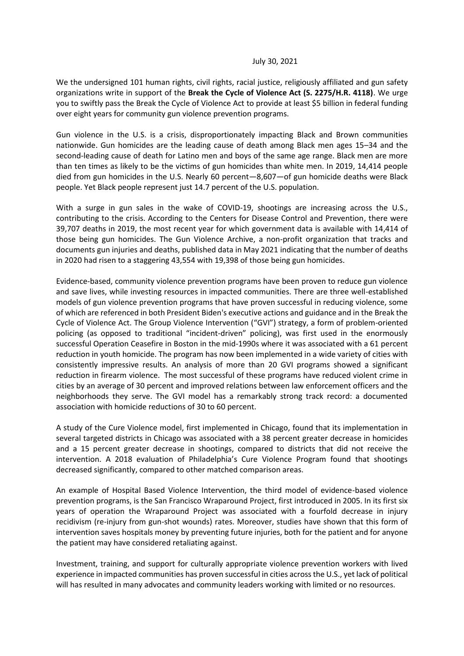## July 30, 2021

We the undersigned 101 human rights, civil rights, racial justice, religiously affiliated and gun safety organizations write in support of the **Break the Cycle of Violence Act (S. 2275/H.R. 4118)**. We urge you to swiftly pass the Break the Cycle of Violence Act to provide at least \$5 billion in federal funding over eight years for community gun violence prevention programs.

Gun violence in the U.S. is a crisis, disproportionately impacting Black and Brown communities nationwide. Gun homicides are the leading cause of death among Black men ages 15–34 and the second-leading cause of death for Latino men and boys of the same age range. Black men are more than ten times as likely to be the victims of gun homicides than white men. In 2019, 14,414 people died from gun homicides in the U.S. Nearly 60 percent—8,607—of gun homicide deaths were Black people. Yet Black people represent just 14.7 percent of the U.S. population.

With a surge in gun sales in the wake of COVID-19, shootings are increasing across the U.S., contributing to the crisis. According to the Centers for Disease Control and Prevention, there were 39,707 deaths in 2019, the most recent year for which government data is available with 14,414 of those being gun homicides. The Gun Violence Archive, a non-profit organization that tracks and documents gun injuries and deaths, published data in May 2021 indicating that the number of deaths in 2020 had risen to a staggering 43,554 with 19,398 of those being gun homicides.

Evidence-based, community violence prevention programs have been proven to reduce gun violence and save lives, while investing resources in impacted communities. There are three well-established models of gun violence prevention programs that have proven successful in reducing violence, some of which are referenced in both President Biden's executive actions and guidance and in the Break the Cycle of Violence Act. The Group Violence Intervention ("GVI") strategy, a form of problem-oriented policing (as opposed to traditional "incident-driven" policing), was first used in the enormously successful Operation Ceasefire in Boston in the mid-1990s where it was associated with a 61 percent reduction in youth homicide. The program has now been implemented in a wide variety of cities with consistently impressive results. An analysis of more than 20 GVI programs showed a significant reduction in firearm violence. The most successful of these programs have reduced violent crime in cities by an average of 30 percent and improved relations between law enforcement officers and the neighborhoods they serve. The GVI model has a remarkably strong track record: a documented association with homicide reductions of 30 to 60 percent.

A study of the Cure Violence model, first implemented in Chicago, found that its implementation in several targeted districts in Chicago was associated with a 38 percent greater decrease in homicides and a 15 percent greater decrease in shootings, compared to districts that did not receive the intervention. A 2018 evaluation of Philadelphia's Cure Violence Program found that shootings decreased significantly, compared to other matched comparison areas.

An example of Hospital Based Violence Intervention, the third model of evidence-based violence prevention programs, is the San Francisco Wraparound Project, first introduced in 2005. In its first six years of operation the Wraparound Project was associated with a fourfold decrease in injury recidivism (re-injury from gun-shot wounds) rates. Moreover, studies have shown that this form of intervention saves hospitals money by preventing future injuries, both for the patient and for anyone the patient may have considered retaliating against.

Investment, training, and support for culturally appropriate violence prevention workers with lived experience in impacted communities has proven successful in cities across the U.S., yet lack of political will has resulted in many advocates and community leaders working with limited or no resources.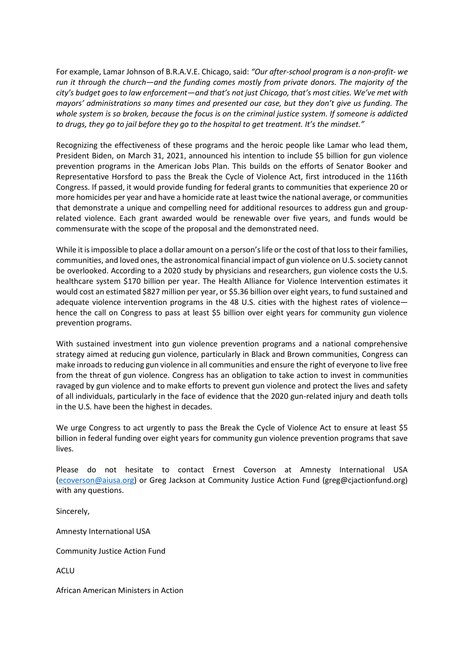For example, Lamar Johnson of B.R.A.V.E. Chicago, said: *"Our after-school program is a non-profit- we run it through the church—and the funding comes mostly from private donors. The majority of the city's budget goes to law enforcement—and that's not just Chicago, that's most cities. We've met with mayors' administrations so many times and presented our case, but they don't give us funding. The whole system is so broken, because the focus is on the criminal justice system. If someone is addicted to drugs, they go to jail before they go to the hospital to get treatment. It's the mindset."*

Recognizing the effectiveness of these programs and the heroic people like Lamar who lead them, President Biden, on March 31, 2021, announced his intention to include \$5 billion for gun violence prevention programs in the American Jobs Plan. This builds on the efforts of Senator Booker and Representative Horsford to pass the Break the Cycle of Violence Act, first introduced in the 116th Congress. If passed, it would provide funding for federal grants to communities that experience 20 or more homicides per year and have a homicide rate at least twice the national average, or communities that demonstrate a unique and compelling need for additional resources to address gun and grouprelated violence. Each grant awarded would be renewable over five years, and funds would be commensurate with the scope of the proposal and the demonstrated need.

While it is impossible to place a dollar amount on a person's life or the cost of that loss to their families, communities, and loved ones, the astronomical financial impact of gun violence on U.S. society cannot be overlooked. According to a 2020 study by physicians and researchers, gun violence costs the U.S. healthcare system \$170 billion per year. The Health Alliance for Violence Intervention estimates it would cost an estimated \$827 million per year, or \$5.36 billion over eight years, to fund sustained and adequate violence intervention programs in the 48 U.S. cities with the highest rates of violence hence the call on Congress to pass at least \$5 billion over eight years for community gun violence prevention programs.

With sustained investment into gun violence prevention programs and a national comprehensive strategy aimed at reducing gun violence, particularly in Black and Brown communities, Congress can make inroads to reducing gun violence in all communities and ensure the right of everyone to live free from the threat of gun violence. Congress has an obligation to take action to invest in communities ravaged by gun violence and to make efforts to prevent gun violence and protect the lives and safety of all individuals, particularly in the face of evidence that the 2020 gun-related injury and death tolls in the U.S. have been the highest in decades.

We urge Congress to act urgently to pass the Break the Cycle of Violence Act to ensure at least \$5 billion in federal funding over eight years for community gun violence prevention programs that save lives.

Please do not hesitate to contact Ernest Coverson at Amnesty International USA [\(ecoverson@aiusa.org\)](mailto:ecoverson@aiusa.org) or Greg Jackson at Community Justice Action Fund (greg@cjactionfund.org) with any questions.

Sincerely,

Amnesty International USA

Community Justice Action Fund

ACLU

African American Ministers in Action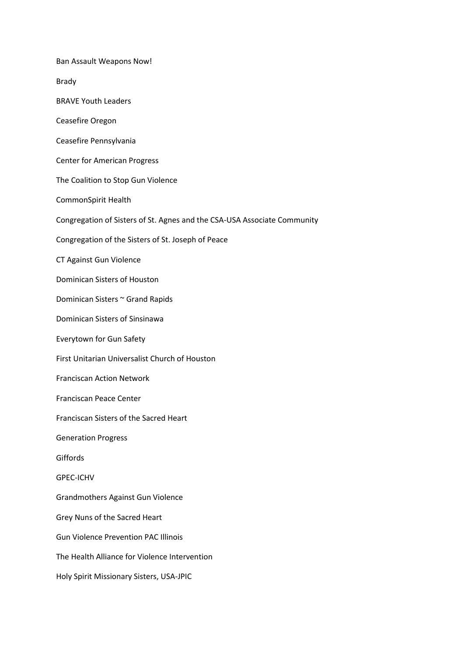Ban Assault Weapons Now! Brady BRAVE Youth Leaders Ceasefire Oregon Ceasefire Pennsylvania Center for American Progress The Coalition to Stop Gun Violence CommonSpirit Health Congregation of Sisters of St. Agnes and the CSA-USA Associate Community Congregation of the Sisters of St. Joseph of Peace CT Against Gun Violence Dominican Sisters of Houston Dominican Sisters ~ Grand Rapids Dominican Sisters of Sinsinawa Everytown for Gun Safety First Unitarian Universalist Church of Houston Franciscan Action Network Franciscan Peace Center Franciscan Sisters of the Sacred Heart Generation Progress Giffords GPEC-ICHV Grandmothers Against Gun Violence Grey Nuns of the Sacred Heart Gun Violence Prevention PAC Illinois The Health Alliance for Violence Intervention Holy Spirit Missionary Sisters, USA-JPIC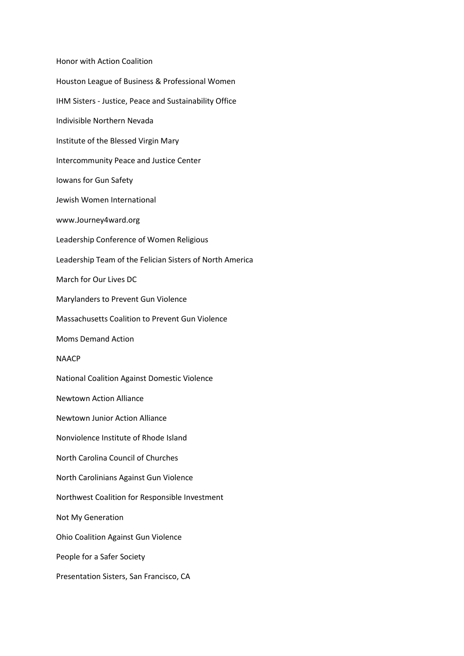Honor with Action Coalition Houston League of Business & Professional Women IHM Sisters - Justice, Peace and Sustainability Office Indivisible Northern Nevada Institute of the Blessed Virgin Mary Intercommunity Peace and Justice Center Iowans for Gun Safety Jewish Women International www.Journey4ward.org Leadership Conference of Women Religious Leadership Team of the Felician Sisters of North America March for Our Lives DC Marylanders to Prevent Gun Violence Massachusetts Coalition to Prevent Gun Violence Moms Demand Action NAACP National Coalition Against Domestic Violence Newtown Action Alliance Newtown Junior Action Alliance Nonviolence Institute of Rhode Island North Carolina Council of Churches North Carolinians Against Gun Violence Northwest Coalition for Responsible Investment Not My Generation Ohio Coalition Against Gun Violence People for a Safer Society Presentation Sisters, San Francisco, CA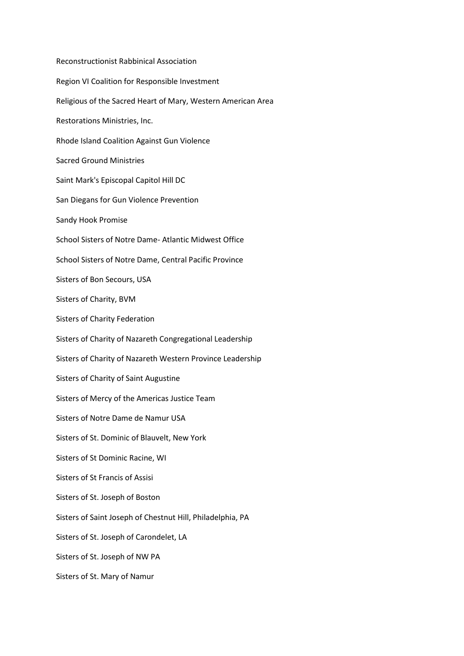Reconstructionist Rabbinical Association Region VI Coalition for Responsible Investment Religious of the Sacred Heart of Mary, Western American Area Restorations Ministries, Inc. Rhode Island Coalition Against Gun Violence Sacred Ground Ministries Saint Mark's Episcopal Capitol Hill DC San Diegans for Gun Violence Prevention Sandy Hook Promise School Sisters of Notre Dame- Atlantic Midwest Office School Sisters of Notre Dame, Central Pacific Province Sisters of Bon Secours, USA Sisters of Charity, BVM Sisters of Charity Federation Sisters of Charity of Nazareth Congregational Leadership Sisters of Charity of Nazareth Western Province Leadership Sisters of Charity of Saint Augustine Sisters of Mercy of the Americas Justice Team Sisters of Notre Dame de Namur USA Sisters of St. Dominic of Blauvelt, New York Sisters of St Dominic Racine, WI Sisters of St Francis of Assisi Sisters of St. Joseph of Boston Sisters of Saint Joseph of Chestnut Hill, Philadelphia, PA Sisters of St. Joseph of Carondelet, LA Sisters of St. Joseph of NW PA Sisters of St. Mary of Namur